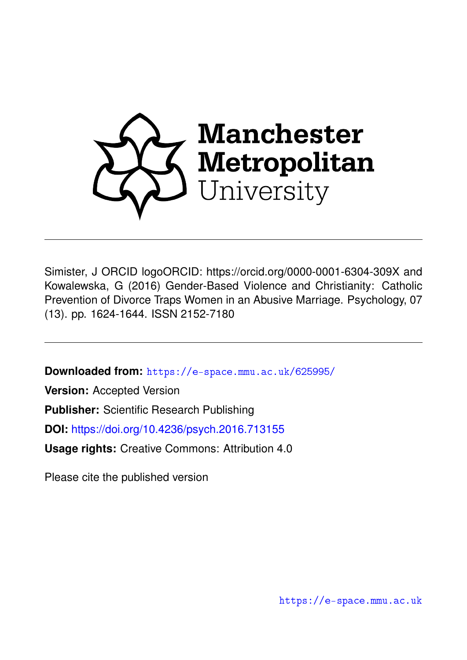

Simister, J ORCID logoORCID: https://orcid.org/0000-0001-6304-309X and Kowalewska, G (2016) Gender-Based Violence and Christianity: Catholic Prevention of Divorce Traps Women in an Abusive Marriage. Psychology, 07 (13). pp. 1624-1644. ISSN 2152-7180

**Downloaded from:** <https://e-space.mmu.ac.uk/625995/>

**Version:** Accepted Version

**Publisher:** Scientific Research Publishing

**DOI:** <https://doi.org/10.4236/psych.2016.713155>

**Usage rights:** Creative Commons: Attribution 4.0

Please cite the published version

<https://e-space.mmu.ac.uk>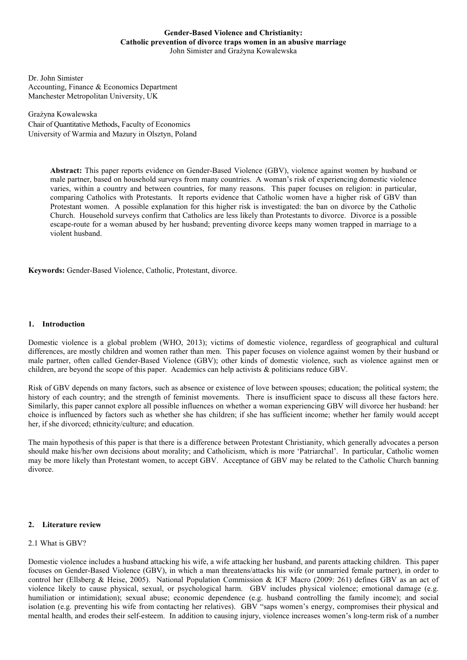## **Gender-Based Violence and Christianity: Catholic prevention of divorce traps women in an abusive marriage** John Simister and Grażyna Kowalewska

Dr. John Simister Accounting, Finance & Economics Department Manchester Metropolitan University, UK

Grażyna Kowalewska Chair of Quantitative Methods, Faculty of Economics University of Warmia and Mazury in Olsztyn, Poland

> **Abstract:** This paper reports evidence on Gender-Based Violence (GBV), violence against women by husband or male partner, based on household surveys from many countries. A woman's risk of experiencing domestic violence varies, within a country and between countries, for many reasons. This paper focuses on religion: in particular, comparing Catholics with Protestants. It reports evidence that Catholic women have a higher risk of GBV than Protestant women. A possible explanation for this higher risk is investigated: the ban on divorce by the Catholic Church. Household surveys confirm that Catholics are less likely than Protestants to divorce. Divorce is a possible escape-route for a woman abused by her husband; preventing divorce keeps many women trapped in marriage to a violent husband.

**Keywords:** Gender-Based Violence, Catholic, Protestant, divorce.

## **1. Introduction**

Domestic violence is a global problem (WHO, 2013); victims of domestic violence, regardless of geographical and cultural differences, are mostly children and women rather than men. This paper focuses on violence against women by their husband or male partner, often called Gender-Based Violence (GBV); other kinds of domestic violence, such as violence against men or children, are beyond the scope of this paper. Academics can help activists & politicians reduce GBV.

Risk of GBV depends on many factors, such as absence or existence of love between spouses; education; the political system; the history of each country; and the strength of feminist movements. There is insufficient space to discuss all these factors here. Similarly, this paper cannot explore all possible influences on whether a woman experiencing GBV will divorce her husband: her choice is influenced by factors such as whether she has children; if she has sufficient income; whether her family would accept her, if she divorced; ethnicity/culture; and education.

The main hypothesis of this paper is that there is a difference between Protestant Christianity, which generally advocates a person should make his/her own decisions about morality; and Catholicism, which is more 'Patriarchal'. In particular, Catholic women may be more likely than Protestant women, to accept GBV. Acceptance of GBV may be related to the Catholic Church banning divorce.

## **2. Literature review**

## 2.1 What is GBV?

Domestic violence includes a husband attacking his wife, a wife attacking her husband, and parents attacking children. This paper focuses on Gender-Based Violence (GBV), in which a man threatens/attacks his wife (or unmarried female partner), in order to control her (Ellsberg & Heise, 2005). National Population Commission & ICF Macro (2009: 261) defines GBV as an act of violence likely to cause physical, sexual, or psychological harm. GBV includes physical violence; emotional damage (e.g. humiliation or intimidation); sexual abuse; economic dependence (e.g. husband controlling the family income); and social isolation (e.g. preventing his wife from contacting her relatives). GBV "saps women's energy, compromises their physical and mental health, and erodes their self-esteem. In addition to causing injury, violence increases women's long-term risk of a number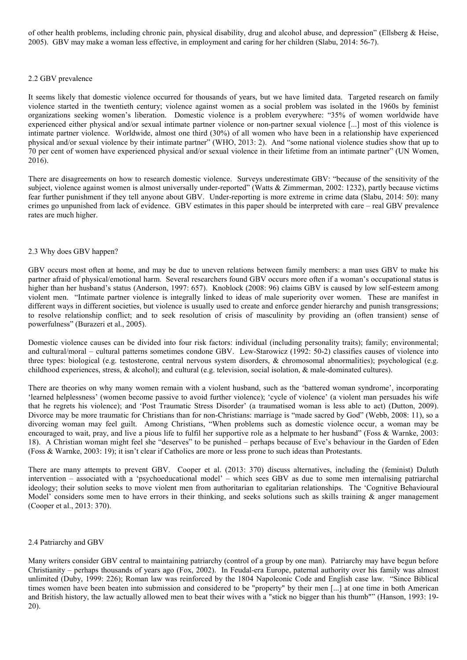of other health problems, including chronic pain, physical disability, drug and alcohol abuse, and depression" (Ellsberg & Heise, 2005). GBV may make a woman less effective, in employment and caring for her children (Slabu, 2014: 56-7).

## 2.2 GBV prevalence

It seems likely that domestic violence occurred for thousands of years, but we have limited data. Targeted research on family violence started in the twentieth century; violence against women as a social problem was isolated in the 1960s by feminist organizations seeking women's liberation. Domestic violence is a problem everywhere: "35% of women worldwide have experienced either physical and/or sexual intimate partner violence or non-partner sexual violence [...] most of this violence is intimate partner violence. Worldwide, almost one third (30%) of all women who have been in a relationship have experienced physical and/or sexual violence by their intimate partner" (WHO, 2013: 2). And "some national violence studies show that up to 70 per cent of women have experienced physical and/or sexual violence in their lifetime from an intimate partner" (UN Women, 2016).

There are disagreements on how to research domestic violence. Surveys underestimate GBV: "because of the sensitivity of the subject, violence against women is almost universally under-reported" (Watts & Zimmerman, 2002: 1232), partly because victims fear further punishment if they tell anyone about GBV. Under-reporting is more extreme in crime data (Slabu, 2014: 50): many crimes go unpunished from lack of evidence. GBV estimates in this paper should be interpreted with care – real GBV prevalence rates are much higher.

## 2.3 Why does GBV happen?

GBV occurs most often at home, and may be due to uneven relations between family members: a man uses GBV to make his partner afraid of physical/emotional harm. Several researchers found GBV occurs more often if a woman's occupational status is higher than her husband's status (Anderson, 1997: 657). Knoblock (2008: 96) claims GBV is caused by low self-esteem among violent men. "Intimate partner violence is integrally linked to ideas of male superiority over women. These are manifest in different ways in different societies, but violence is usually used to create and enforce gender hierarchy and punish transgressions; to resolve relationship conflict; and to seek resolution of crisis of masculinity by providing an (often transient) sense of powerfulness" (Burazeri et al., 2005).

Domestic violence causes can be divided into four risk factors: individual (including personality traits); family; environmental; and cultural/moral – cultural patterns sometimes condone GBV. Lew-Starowicz (1992: 50-2) classifies causes of violence into three types: biological (e.g. testosterone, central nervous system disorders, & chromosomal abnormalities); psychological (e.g. childhood experiences, stress, & alcohol); and cultural (e.g. television, social isolation, & male-dominated cultures).

There are theories on why many women remain with a violent husband, such as the 'battered woman syndrome', incorporating 'learned helplessness' (women become passive to avoid further violence); 'cycle of violence' (a violent man persuades his wife that he regrets his violence); and 'Post Traumatic Stress Disorder' (a traumatised woman is less able to act) (Dutton, 2009). Divorce may be more traumatic for Christians than for non-Christians: marriage is "made sacred by God" (Webb, 2008: 11), so a divorcing woman may feel guilt. Among Christians, "When problems such as domestic violence occur, a woman may be encouraged to wait, pray, and live a pious life to fulfil her supportive role as a helpmate to her husband" (Foss & Warnke, 2003: 18). A Christian woman might feel she "deserves" to be punished – perhaps because of Eve's behaviour in the Garden of Eden (Foss & Warnke, 2003: 19); it isn't clear if Catholics are more or less prone to such ideas than Protestants.

There are many attempts to prevent GBV. Cooper et al. (2013: 370) discuss alternatives, including the (feminist) Duluth intervention – associated with a 'psychoeducational model' – which sees GBV as due to some men internalising patriarchal ideology; their solution seeks to move violent men from authoritarian to egalitarian relationships. The 'Cognitive Behavioural Model' considers some men to have errors in their thinking, and seeks solutions such as skills training  $\&$  anger management (Cooper et al., 2013: 370).

## 2.4 Patriarchy and GBV

Many writers consider GBV central to maintaining patriarchy (control of a group by one man). Patriarchy may have begun before Christianity – perhaps thousands of years ago (Fox, 2002). In Feudal-era Europe, paternal authority over his family was almost unlimited (Duby, 1999: 226); Roman law was reinforced by the 1804 Napoleonic Code and English case law. "Since Biblical times women have been beaten into submission and considered to be "property" by their men [...] at one time in both American and British history, the law actually allowed men to beat their wives with a "stick no bigger than his thumb"" (Hanson, 1993: 19- 20).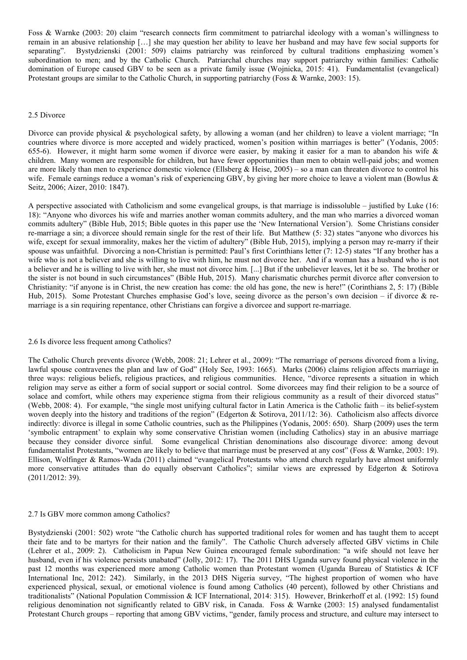Foss & Warnke (2003: 20) claim "research connects firm commitment to patriarchal ideology with a woman's willingness to remain in an abusive relationship […] she may question her ability to leave her husband and may have few social supports for separating". Bystydzienski (2001: 509) claims patriarchy was reinforced by cultural traditions emphasizing women's subordination to men; and by the Catholic Church. Patriarchal churches may support patriarchy within families: Catholic domination of Europe caused GBV to be seen as a private family issue (Wojnicka, 2015: 41). Fundamentalist (evangelical) Protestant groups are similar to the Catholic Church, in supporting patriarchy (Foss & Warnke, 2003: 15).

## 2.5 Divorce

Divorce can provide physical & psychological safety, by allowing a woman (and her children) to leave a violent marriage; "In countries where divorce is more accepted and widely practiced, women's position within marriages is better" (Yodanis, 2005: 655-6). However, it might harm some women if divorce were easier, by making it easier for a man to abandon his wife  $\&$ children. Many women are responsible for children, but have fewer opportunities than men to obtain well-paid jobs; and women are more likely than men to experience domestic violence (Ellsberg & Heise, 2005) – so a man can threaten divorce to control his wife. Female earnings reduce a woman's risk of experiencing GBV, by giving her more choice to leave a violent man (Bowlus & Seitz, 2006; Aizer, 2010: 1847).

A perspective associated with Catholicism and some evangelical groups, is that marriage is indissoluble – justified by Luke (16: 18): "Anyone who divorces his wife and marries another woman commits adultery, and the man who marries a divorced woman commits adultery" (Bible Hub, 2015; Bible quotes in this paper use the 'New International Version'). Some Christians consider re-marriage a sin; a divorcee should remain single for the rest of their life. But Matthew (5: 32) states "anyone who divorces his wife, except for sexual immorality, makes her the victim of adultery" (Bible Hub, 2015), implying a person may re-marry if their spouse was unfaithful. Divorcing a non-Christian is permitted: Paul's first Corinthians letter (7: 12-5) states "If any brother has a wife who is not a believer and she is willing to live with him, he must not divorce her. And if a woman has a husband who is not a believer and he is willing to live with her, she must not divorce him. [...] But if the unbeliever leaves, let it be so. The brother or the sister is not bound in such circumstances" (Bible Hub, 2015). Many charismatic churches permit divorce after conversion to Christianity: "if anyone is in Christ, the new creation has come: the old has gone, the new is here!" (Corinthians 2, 5: 17) (Bible Hub, 2015). Some Protestant Churches emphasise God's love, seeing divorce as the person's own decision – if divorce & remarriage is a sin requiring repentance, other Christians can forgive a divorcee and support re-marriage.

## 2.6 Is divorce less frequent among Catholics?

The Catholic Church prevents divorce (Webb, 2008: 21; Lehrer et al., 2009): "The remarriage of persons divorced from a living, lawful spouse contravenes the plan and law of God" (Holy See, 1993: 1665). Marks (2006) claims religion affects marriage in three ways: religious beliefs, religious practices, and religious communities. Hence, "divorce represents a situation in which religion may serve as either a form of social support or social control. Some divorcees may find their religion to be a source of solace and comfort, while others may experience stigma from their religious community as a result of their divorced status" (Webb, 2008: 4). For example, "the single most unifying cultural factor in Latin America is the Catholic faith – its belief-system woven deeply into the history and traditions of the region" (Edgerton & Sotirova, 2011/12: 36). Catholicism also affects divorce indirectly: divorce is illegal in some Catholic countries, such as the Philippines (Yodanis, 2005: 650). Sharp (2009) uses the term 'symbolic entrapment' to explain why some conservative Christian women (including Catholics) stay in an abusive marriage because they consider divorce sinful. Some evangelical Christian denominations also discourage divorce: among devout fundamentalist Protestants, "women are likely to believe that marriage must be preserved at any cost" (Foss & Warnke, 2003: 19). Ellison, Wolfinger & Ramos-Wada (2011) claimed "evangelical Protestants who attend church regularly have almost uniformly more conservative attitudes than do equally observant Catholics"; similar views are expressed by Edgerton & Sotirova (2011/2012: 39).

## 2.7 Is GBV more common among Catholics?

Bystydzienski (2001: 502) wrote "the Catholic church has supported traditional roles for women and has taught them to accept their fate and to be martyrs for their nation and the family". The Catholic Church adversely affected GBV victims in Chile (Lehrer et al., 2009: 2). Catholicism in Papua New Guinea encouraged female subordination: "a wife should not leave her husband, even if his violence persists unabated" (Jolly, 2012: 17). The 2011 DHS Uganda survey found physical violence in the past 12 months was experienced more among Catholic women than Protestant women (Uganda Bureau of Statistics & ICF International Inc, 2012: 242). Similarly, in the 2013 DHS Nigeria survey, "The highest proportion of women who have experienced physical, sexual, or emotional violence is found among Catholics (40 percent), followed by other Christians and traditionalists" (National Population Commission & ICF International, 2014: 315). However, Brinkerhoff et al. (1992: 15) found religious denomination not significantly related to GBV risk, in Canada. Foss & Warnke (2003: 15) analysed fundamentalist Protestant Church groups – reporting that among GBV victims, "gender, family process and structure, and culture may intersect to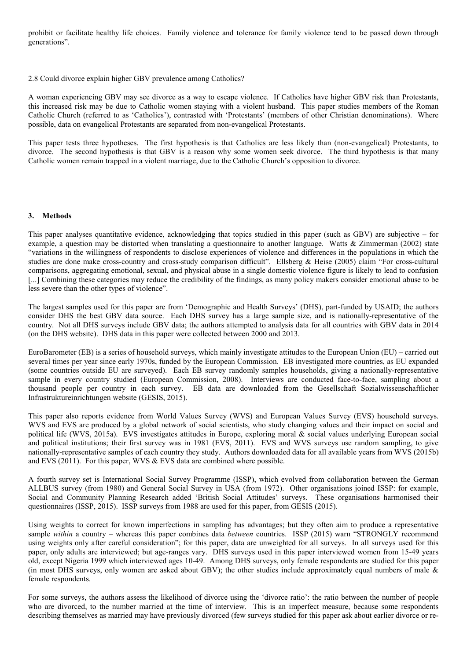prohibit or facilitate healthy life choices. Family violence and tolerance for family violence tend to be passed down through generations".

2.8 Could divorce explain higher GBV prevalence among Catholics?

A woman experiencing GBV may see divorce as a way to escape violence. If Catholics have higher GBV risk than Protestants, this increased risk may be due to Catholic women staying with a violent husband. This paper studies members of the Roman Catholic Church (referred to as 'Catholics'), contrasted with 'Protestants' (members of other Christian denominations). Where possible, data on evangelical Protestants are separated from non-evangelical Protestants.

This paper tests three hypotheses. The first hypothesis is that Catholics are less likely than (non-evangelical) Protestants, to divorce. The second hypothesis is that GBV is a reason why some women seek divorce. The third hypothesis is that many Catholic women remain trapped in a violent marriage, due to the Catholic Church's opposition to divorce.

## **3. Methods**

This paper analyses quantitative evidence, acknowledging that topics studied in this paper (such as GBV) are subjective – for example, a question may be distorted when translating a questionnaire to another language. Watts & Zimmerman (2002) state "variations in the willingness of respondents to disclose experiences of violence and differences in the populations in which the studies are done make cross-country and cross-study comparison difficult". Ellsberg & Heise (2005) claim "For cross-cultural comparisons, aggregating emotional, sexual, and physical abuse in a single domestic violence figure is likely to lead to confusion [...] Combining these categories may reduce the credibility of the findings, as many policy makers consider emotional abuse to be less severe than the other types of violence".

The largest samples used for this paper are from 'Demographic and Health Surveys' (DHS), part-funded by USAID; the authors consider DHS the best GBV data source. Each DHS survey has a large sample size, and is nationally-representative of the country. Not all DHS surveys include GBV data; the authors attempted to analysis data for all countries with GBV data in 2014 (on the DHS website). DHS data in this paper were collected between 2000 and 2013.

EuroBarometer (EB) is a series of household surveys, which mainly investigate attitudes to the European Union (EU) – carried out several times per year since early 1970s, funded by the European Commission. EB investigated more countries, as EU expanded (some countries outside EU are surveyed). Each EB survey randomly samples households, giving a nationally-representative sample in every country studied (European Commission, 2008). Interviews are conducted face-to-face, sampling about a thousand people per country in each survey. EB data are downloaded from the Gesellschaft Sozialwissenschaftlicher Infrastruktureinrichtungen website (GESIS, 2015).

This paper also reports evidence from World Values Survey (WVS) and European Values Survey (EVS) household surveys. WVS and EVS are produced by a global network of social scientists, who study changing values and their impact on social and political life (WVS, 2015a). EVS investigates attitudes in Europe, exploring moral & social values underlying European social and political institutions; their first survey was in 1981 (EVS, 2011). EVS and WVS surveys use random sampling, to give nationally-representative samples of each country they study. Authors downloaded data for all available years from WVS (2015b) and EVS (2011). For this paper, WVS & EVS data are combined where possible.

A fourth survey set is International Social Survey Programme (ISSP), which evolved from collaboration between the German ALLBUS survey (from 1980) and General Social Survey in USA (from 1972). Other organisations joined ISSP: for example, Social and Community Planning Research added 'British Social Attitudes' surveys. These organisations harmonised their questionnaires (ISSP, 2015). ISSP surveys from 1988 are used for this paper, from GESIS (2015).

Using weights to correct for known imperfections in sampling has advantages; but they often aim to produce a representative sample *within* a country – whereas this paper combines data *between* countries. ISSP (2015) warn "STRONGLY recommend using weights only after careful consideration"; for this paper, data are unweighted for all surveys. In all surveys used for this paper, only adults are interviewed; but age-ranges vary. DHS surveys used in this paper interviewed women from 15-49 years old, except Nigeria 1999 which interviewed ages 10-49. Among DHS surveys, only female respondents are studied for this paper (in most DHS surveys, only women are asked about GBV); the other studies include approximately equal numbers of male & female respondents.

For some surveys, the authors assess the likelihood of divorce using the 'divorce ratio': the ratio between the number of people who are divorced, to the number married at the time of interview. This is an imperfect measure, because some respondents describing themselves as married may have previously divorced (few surveys studied for this paper ask about earlier divorce or re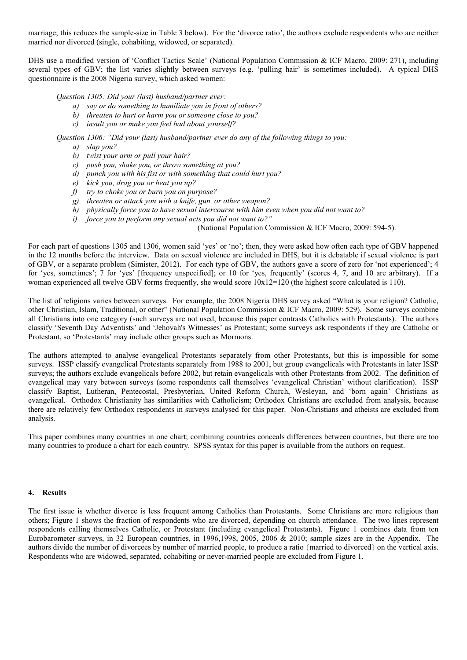marriage; this reduces the sample-size in Table 3 below). For the 'divorce ratio', the authors exclude respondents who are neither married nor divorced (single, cohabiting, widowed, or separated).

DHS use a modified version of 'Conflict Tactics Scale' (National Population Commission & ICF Macro, 2009: 271), including several types of GBV; the list varies slightly between surveys (e.g. 'pulling hair' is sometimes included). A typical DHS questionnaire is the 2008 Nigeria survey, which asked women:

*Question 1305: Did your (last) husband/partner ever:*

- *a) say or do something to humiliate you in front of others?*
- *b) threaten to hurt or harm you or someone close to you?*
- *c) insult you or make you feel bad about yourself?*

*Question 1306: "Did your (last) husband/partner ever do any of the following things to you:*

- *a) slap you?*
- *b) twist your arm or pull your hair?*
- *c) push you, shake you, or throw something at you?*
- *d) punch you with his fist or with something that could hurt you?*
- *e) kick you, drag you or beat you up?*
- *f) try to choke you or burn you on purpose?*
- *g) threaten or attack you with a knife, gun, or other weapon?*
- *h) physically force you to have sexual intercourse with him even when you did not want to?*
- *i) force you to perform any sexual acts you did not want to?"*

(National Population Commission & ICF Macro, 2009: 594-5).

For each part of questions 1305 and 1306, women said 'yes' or 'no'; then, they were asked how often each type of GBV happened in the 12 months before the interview. Data on sexual violence are included in DHS, but it is debatable if sexual violence is part of GBV, or a separate problem (Simister, 2012). For each type of GBV, the authors gave a score of zero for 'not experienced'; 4 for 'yes, sometimes'; 7 for 'yes' [frequency unspecified]; or 10 for 'yes, frequently' (scores 4, 7, and 10 are arbitrary). If a woman experienced all twelve GBV forms frequently, she would score  $10x12=120$  (the highest score calculated is 110).

The list of religions varies between surveys. For example, the 2008 Nigeria DHS survey asked "What is your religion? Catholic, other Christian, Islam, Traditional, or other" (National Population Commission & ICF Macro, 2009: 529). Some surveys combine all Christians into one category (such surveys are not used, because this paper contrasts Catholics with Protestants). The authors classify 'Seventh Day Adventists' and 'Jehovah's Witnesses' as Protestant; some surveys ask respondents if they are Catholic or Protestant, so 'Protestants' may include other groups such as Mormons.

The authors attempted to analyse evangelical Protestants separately from other Protestants, but this is impossible for some surveys. ISSP classify evangelical Protestants separately from 1988 to 2001, but group evangelicals with Protestants in later ISSP surveys; the authors exclude evangelicals before 2002, but retain evangelicals with other Protestants from 2002. The definition of evangelical may vary between surveys (some respondents call themselves 'evangelical Christian' without clarification). ISSP classify Baptist, Lutheran, Pentecostal, Presbyterian, United Reform Church, Wesleyan, and 'born again' Christians as evangelical. Orthodox Christianity has similarities with Catholicism; Orthodox Christians are excluded from analysis, because there are relatively few Orthodox respondents in surveys analysed for this paper. Non-Christians and atheists are excluded from analysis.

This paper combines many countries in one chart; combining countries conceals differences between countries, but there are too many countries to produce a chart for each country. SPSS syntax for this paper is available from the authors on request.

# **4. Results**

The first issue is whether divorce is less frequent among Catholics than Protestants. Some Christians are more religious than others; Figure 1 shows the fraction of respondents who are divorced, depending on church attendance. The two lines represent respondents calling themselves Catholic, or Protestant (including evangelical Protestants). Figure 1 combines data from ten Eurobarometer surveys, in 32 European countries, in 1996,1998, 2005, 2006 & 2010; sample sizes are in the Appendix. The authors divide the number of divorcees by number of married people, to produce a ratio {married to divorced} on the vertical axis. Respondents who are widowed, separated, cohabiting or never-married people are excluded from Figure 1.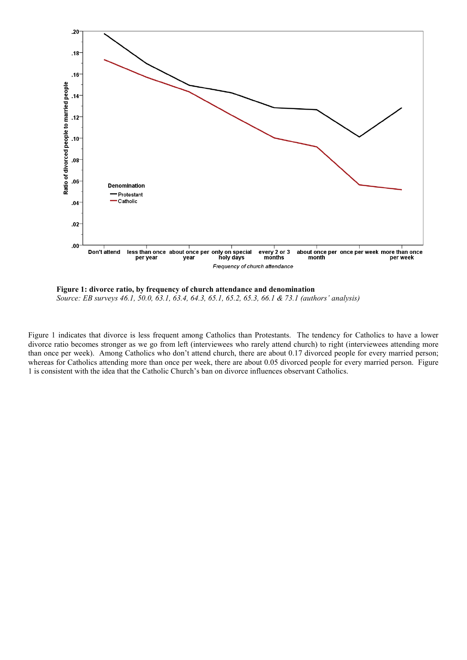

**Figure 1: divorce ratio, by frequency of church attendance and denomination** *Source: EB surveys 46.1, 50.0, 63.1, 63.4, 64.3, 65.1, 65.2, 65.3, 66.1 & 73.1 (authors' analysis)*

Figure 1 indicates that divorce is less frequent among Catholics than Protestants. The tendency for Catholics to have a lower divorce ratio becomes stronger as we go from left (interviewees who rarely attend church) to right (interviewees attending more than once per week). Among Catholics who don't attend church, there are about 0.17 divorced people for every married person; whereas for Catholics attending more than once per week, there are about 0.05 divorced people for every married person. Figure 1 is consistent with the idea that the Catholic Church's ban on divorce influences observant Catholics.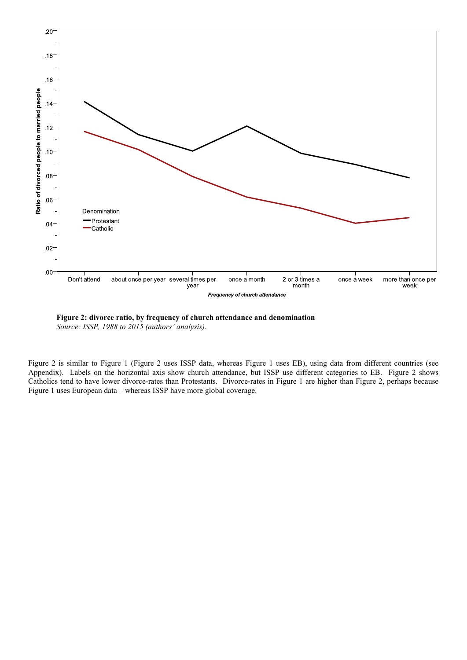



Figure 2 is similar to Figure 1 (Figure 2 uses ISSP data, whereas Figure 1 uses EB), using data from different countries (see Appendix). Labels on the horizontal axis show church attendance, but ISSP use different categories to EB. Figure 2 shows Catholics tend to have lower divorce-rates than Protestants. Divorce-rates in Figure 1 are higher than Figure 2, perhaps because Figure 1 uses European data – whereas ISSP have more global coverage.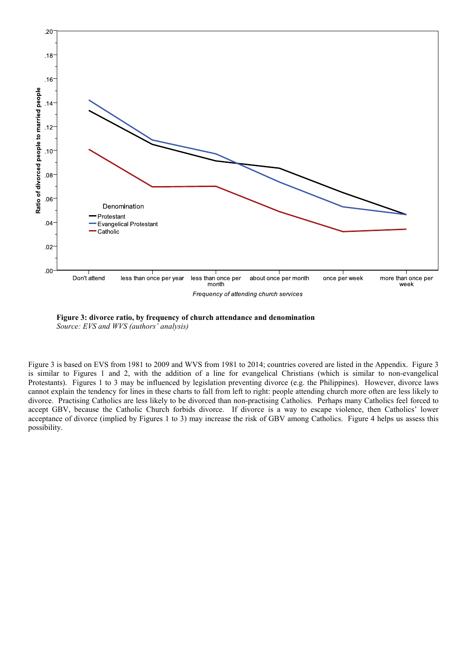



Figure 3 is based on EVS from 1981 to 2009 and WVS from 1981 to 2014; countries covered are listed in the Appendix. Figure 3 is similar to Figures 1 and 2, with the addition of a line for evangelical Christians (which is similar to non-evangelical Protestants). Figures 1 to 3 may be influenced by legislation preventing divorce (e.g. the Philippines). However, divorce laws cannot explain the tendency for lines in these charts to fall from left to right: people attending church more often are less likely to divorce. Practising Catholics are less likely to be divorced than non-practising Catholics. Perhaps many Catholics feel forced to accept GBV, because the Catholic Church forbids divorce. If divorce is a way to escape violence, then Catholics' lower acceptance of divorce (implied by Figures 1 to 3) may increase the risk of GBV among Catholics. Figure 4 helps us assess this possibility.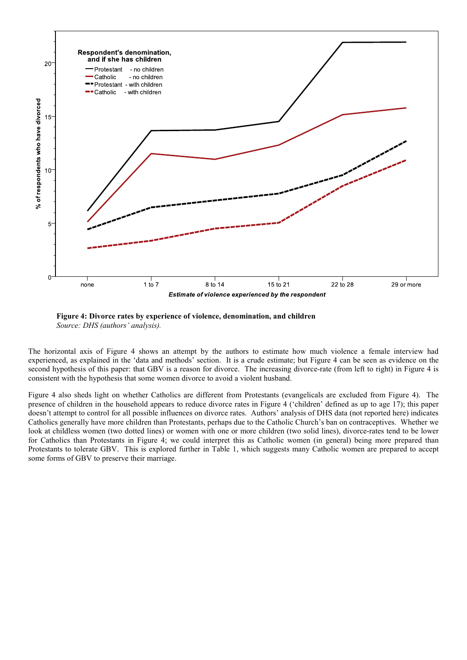



The horizontal axis of Figure 4 shows an attempt by the authors to estimate how much violence a female interview had experienced, as explained in the 'data and methods' section. It is a crude estimate; but Figure 4 can be seen as evidence on the second hypothesis of this paper: that GBV is a reason for divorce. The increasing divorce-rate (from left to right) in Figure 4 is consistent with the hypothesis that some women divorce to avoid a violent husband.

Figure 4 also sheds light on whether Catholics are different from Protestants (evangelicals are excluded from Figure 4). The presence of children in the household appears to reduce divorce rates in Figure 4 ('children' defined as up to age 17); this paper doesn't attempt to control for all possible influences on divorce rates. Authors' analysis of DHS data (not reported here) indicates Catholics generally have more children than Protestants, perhaps due to the Catholic Church's ban on contraceptives. Whether we look at childless women (two dotted lines) or women with one or more children (two solid lines), divorce-rates tend to be lower for Catholics than Protestants in Figure 4; we could interpret this as Catholic women (in general) being more prepared than Protestants to tolerate GBV. This is explored further in Table 1, which suggests many Catholic women are prepared to accept some forms of GBV to preserve their marriage.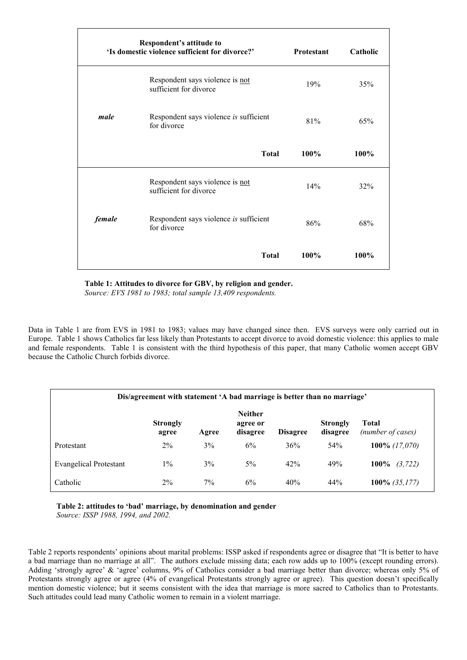|        | Respondent's attitude to<br>'Is domestic violence sufficient for divorce?' | <b>Protestant</b> | Catholic |
|--------|----------------------------------------------------------------------------|-------------------|----------|
|        | Respondent says violence is not<br>sufficient for divorce                  | 19%               | 35%      |
| male   | Respondent says violence is sufficient<br>for divorce                      | 81%               | 65%      |
|        | <b>Total</b>                                                               | 100%              | 100%     |
|        | Respondent says violence is not<br>sufficient for divorce                  | 14%               | 32%      |
| female | Respondent says violence is sufficient<br>for divorce                      | 86%               | 68%      |
|        | <b>Total</b>                                                               | 100%              | 100%     |

**Table 1: Attitudes to divorce for GBV, by religion and gender.**

*Source: EVS 1981 to 1983; total sample 13,409 respondents.*

Data in Table 1 are from EVS in 1981 to 1983; values may have changed since then. EVS surveys were only carried out in Europe. Table 1 shows Catholics far less likely than Protestants to accept divorce to avoid domestic violence: this applies to male and female respondents. Table 1 is consistent with the third hypothesis of this paper, that many Catholic women accept GBV because the Catholic Church forbids divorce.

| Dis/agreement with statement 'A bad marriage is better than no marriage' |                          |       |                                        |                 |                             |                                   |
|--------------------------------------------------------------------------|--------------------------|-------|----------------------------------------|-----------------|-----------------------------|-----------------------------------|
|                                                                          | <b>Strongly</b><br>agree | Agree | <b>Neither</b><br>agree or<br>disagree | <b>Disagree</b> | <b>Strongly</b><br>disagree | <b>Total</b><br>(number of cases) |
| Protestant                                                               | $2\%$                    | $3\%$ | 6%                                     | 36%             | 54%                         | 100\% $(17,070)$                  |
| <b>Evangelical Protestant</b>                                            | $1\%$                    | 3%    | $5\%$                                  | 42%             | 49%                         | $100\%$<br>(3, 722)               |
| Catholic                                                                 | $2\%$                    | 7%    | 6%                                     | 40%             | 44%                         | 100% $(35,177)$                   |

mention domestic violence; but it seems consistent with the idea that marriage is more sacred to Catholics than to Protestants.

**Table 2: attitudes to 'bad' marriage, by denomination and gender** *Source: ISSP 1988, 1994, and 2002.*

Such attitudes could lead many Catholic women to remain in a violent marriage.

Table 2 reports respondents' opinions about marital problems: ISSP asked if respondents agree or disagree that "It is better to have a bad marriage than no marriage at all". The authors exclude missing data; each row adds up to 100% (except rounding errors). Adding 'strongly agree' & 'agree' columns, 9% of Catholics consider a bad marriage better than divorce; whereas only 5% of Protestants strongly agree or agree (4% of evangelical Protestants strongly agree or agree). This question doesn't specifically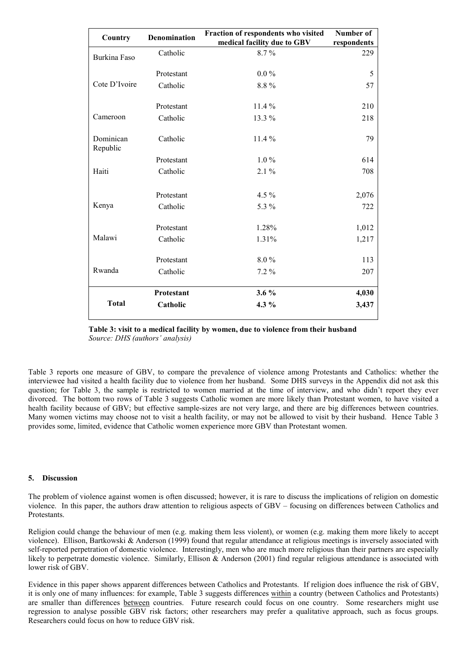| Country               | <b>Denomination</b> | Fraction of respondents who visited<br>medical facility due to GBV | Number of<br>respondents |
|-----------------------|---------------------|--------------------------------------------------------------------|--------------------------|
| <b>Burkina Faso</b>   | Catholic            | 8.7%                                                               | 229                      |
|                       | Protestant          | $0.0\%$                                                            | 5                        |
| Cote D'Ivoire         | Catholic            | 8.8%                                                               | 57                       |
|                       | Protestant          | $11.4\%$                                                           | 210                      |
| Cameroon              | Catholic            | 13.3 %                                                             | 218                      |
| Dominican<br>Republic | Catholic            | $11.4\%$                                                           | 79                       |
|                       | Protestant          | $1.0\%$                                                            | 614                      |
| Haiti                 | Catholic            | $2.1\%$                                                            | 708                      |
|                       | Protestant          | $4.5\%$                                                            | 2,076                    |
| Kenya                 | Catholic            | 5.3 %                                                              | 722                      |
|                       | Protestant          | 1.28%                                                              | 1,012                    |
| Malawi                | Catholic            | 1.31%                                                              | 1,217                    |
|                       | Protestant          | $8.0\%$                                                            | 113                      |
| Rwanda                | Catholic            | $7.2\%$                                                            | 207                      |
|                       | <b>Protestant</b>   | $3.6\%$                                                            | 4,030                    |
| <b>Total</b>          | Catholic            | $4.3\%$                                                            | 3,437                    |

## **Table 3: visit to a medical facility by women, due to violence from their husband**  *Source: DHS (authors' analysis)*

Table 3 reports one measure of GBV, to compare the prevalence of violence among Protestants and Catholics: whether the interviewee had visited a health facility due to violence from her husband. Some DHS surveys in the Appendix did not ask this question; for Table 3, the sample is restricted to women married at the time of interview, and who didn't report they ever divorced. The bottom two rows of Table 3 suggests Catholic women are more likely than Protestant women, to have visited a health facility because of GBV; but effective sample-sizes are not very large, and there are big differences between countries. Many women victims may choose not to visit a health facility, or may not be allowed to visit by their husband. Hence Table 3 provides some, limited, evidence that Catholic women experience more GBV than Protestant women.

## **5. Discussion**

The problem of violence against women is often discussed; however, it is rare to discuss the implications of religion on domestic violence. In this paper, the authors draw attention to religious aspects of GBV – focusing on differences between Catholics and Protestants.

Religion could change the behaviour of men (e.g. making them less violent), or women (e.g. making them more likely to accept violence). [Ellison](https://scholar.google.pl/citations?user=j0XLwq8AAAAJ&hl=pl&oi=sra), [Bartkowski](https://scholar.google.pl/citations?user=hvDQ2_AAAAAJ&hl=pl&oi=sra) & [Anderson](https://scholar.google.pl/citations?user=9C_R9boAAAAJ&hl=pl&oi=sra) (1999) found that regular attendance at religious meetings is inversely associated with self-reported perpetration of domestic violence. Interestingly, men who are much more religious than their partners are especially likely to perpetrate domestic violence. Similarly, Ellison & Anderson (2001) find regular religious attendance is associated with lower risk of GBV.

Evidence in this paper shows apparent differences between Catholics and Protestants. If religion does influence the risk of GBV, it is only one of many influences: for example, Table 3 suggests differences within a country (between Catholics and Protestants) are smaller than differences between countries. Future research could focus on one country. Some researchers might use regression to analyse possible GBV risk factors; other researchers may prefer a qualitative approach, such as focus groups. Researchers could focus on how to reduce GBV risk.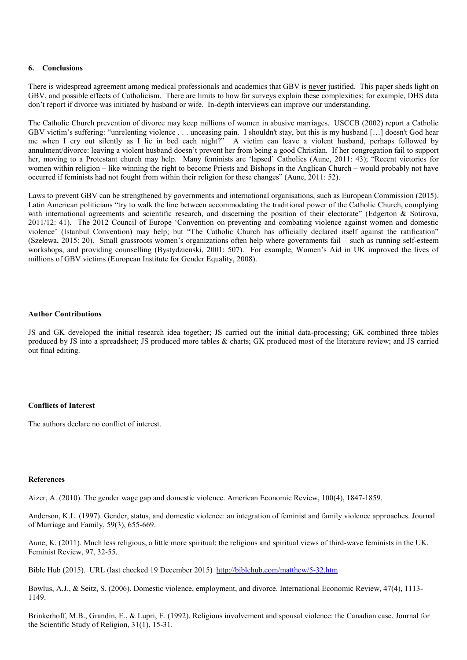## **6. Conclusions**

There is widespread agreement among medical professionals and academics that GBV is never justified. This paper sheds light on GBV, and possible effects of Catholicism. There are limits to how far surveys explain these complexities; for example, DHS data don't report if divorce was initiated by husband or wife. In-depth interviews can improve our understanding.

The Catholic Church prevention of divorce may keep millions of women in abusive marriages. USCCB (2002) report a Catholic GBV victim's suffering: "unrelenting violence . . . unceasing pain. I shouldn't stay, but this is my husband […] doesn't God hear me when I cry out silently as I lie in bed each night?" A victim can leave a violent husband, perhaps followed by annulment/divorce: leaving a violent husband doesn't prevent her from being a good Christian. If her congregation fail to support her, moving to a Protestant church may help. Many feminists are 'lapsed' Catholics (Aune, 2011: 43); "Recent victories for women within religion – like winning the right to become Priests and Bishops in the Anglican Church – would probably not have occurred if feminists had not fought from within their religion for these changes" (Aune, 2011: 52).

Laws to prevent GBV can be strengthened by governments and international organisations, such as European Commission (2015). Latin American politicians "try to walk the line between accommodating the traditional power of the Catholic Church, complying with international agreements and scientific research, and discerning the position of their electorate" (Edgerton & Sotirova, 2011/12: 41). The 2012 Council of Europe 'Convention on preventing and combating violence against women and domestic violence' (Istanbul Convention) may help; but "The Catholic Church has officially declared itself against the ratification" (Szelewa, 2015: 20). Small grassroots women's organizations often help where governments fail – such as running self-esteem workshops, and providing counselling (Bystydzienski, 2001: 507). For example, Women's Aid in UK improved the lives of millions of GBV victims (European Institute for Gender Equality, 2008).

## **Author Contributions**

JS and GK developed the initial research idea together; JS carried out the initial data-processing; GK combined three tables produced by JS into a spreadsheet; JS produced more tables & charts; GK produced most of the literature review; and JS carried out final editing.

## **Conflicts of Interest**

The authors declare no conflict of interest.

## **References**

Aizer, A. (2010). The gender wage gap and domestic violence. American Economic Review, 100(4), 1847-1859.

Anderson, K.L. (1997). Gender, status, and domestic violence: an integration of feminist and family violence approaches. Journal of Marriage and Family, 59(3), 655-669.

Aune, K. (2011). Much less religious, a little more spiritual: the religious and spiritual views of third-wave feminists in the UK. Feminist Review, 97, 32-55.

Bible Hub (2015). URL (last checked 19 December 2015) [http://biblehub.com/matthew/5](http://biblehub.com/matthew/5-32.htm)-32.htm

Bowlus, A.J., & Seitz, S. (2006). Domestic violence, employment, and divorce. International Economic Review, 47(4), 1113- 1149.

Brinkerhoff, M.B., Grandin, E., & Lupri, E. (1992). Religious involvement and spousal violence: the Canadian case. Journal for the Scientific Study of Religion, 31(1), 15-31.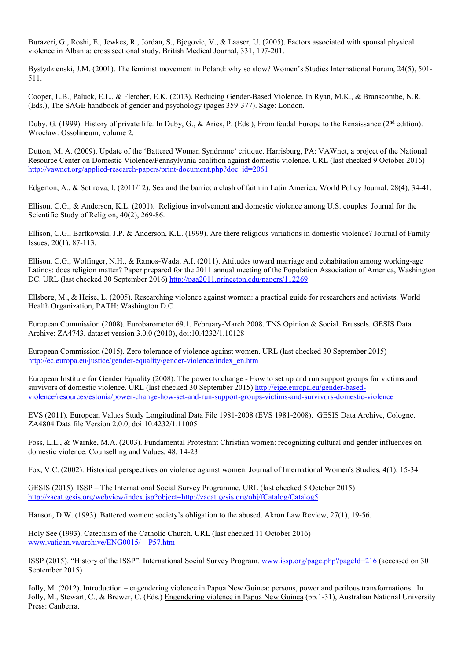Burazeri, G., Roshi, E., Jewkes, R., Jordan, S., Bjegovic, V., & Laaser, U. (2005). Factors associated with spousal physical violence in Albania: cross sectional study. British Medical Journal, 331, 197-201.

Bystydzienski, J.M. (2001). The feminist movement in Poland: why so slow? Women's Studies International Forum, 24(5), 501- 511.

Cooper, L.B., Paluck, E.L., & Fletcher, E.K. (2013). Reducing Gender-Based Violence. In Ryan, M.K., & Branscombe, N.R. (Eds.), The SAGE handbook of gender and psychology (pages 359-377). Sage: London.

Duby. G. (1999). History of private life. In Duby, G., & Aries, P. (Eds.), From feudal Europe to the Renaissance (2<sup>nd</sup> edition). Wrocław: Ossolineum, volume 2.

Dutton, M. A. (2009). Update of the 'Battered Woman Syndrome' critique. Harrisburg, PA: VAWnet, a project of the National Resource Center on Domestic Violence/Pennsylvania coalition against domestic violence. URL (last checked 9 October 2016) http://vawnet.org/applied-research-papers/print-[document.php?doc\\_id=2061](http://vawnet.org/applied-research-papers/print-document.php?doc_id=2061)

Edgerton, A., & Sotirova, I. (2011/12). Sex and the barrio: a clash of faith in Latin America. World Policy Journal, 28(4), 34-41.

Ellison, C.G., & Anderson, K.L. (2001). Religious involvement and domestic violence among U.S. couples. Journal for the Scientific Study of Religion, 40(2), 269-86.

[Ellison](https://scholar.google.pl/citations?user=j0XLwq8AAAAJ&hl=pl&oi=sra), C.G., [Bartkowski](https://scholar.google.pl/citations?user=hvDQ2_AAAAAJ&hl=pl&oi=sra), J.P. & [Anderson,](https://scholar.google.pl/citations?user=9C_R9boAAAAJ&hl=pl&oi=sra) K.L. (1999). [Are there religious variations in domestic violence?](http://jfi.sagepub.com/content/20/1/87.short) Journal of Family Issues, 20(1), 87-113.

Ellison, C.G., Wolfinger, N.H., & Ramos-Wada, A.I. (2011). Attitudes toward marriage and cohabitation among working-age Latinos: does religion matter? Paper prepared for the 2011 annual meeting of the Population Association of America, Washington DC. URL (last checked 30 September 2016) <http://paa2011.princeton.edu/papers/112269>

Ellsberg, M., & Heise, L. (2005). Researching violence against women: a practical guide for researchers and activists. World Health Organization, PATH: Washington D.C.

European Commission (2008). Eurobarometer 69.1. February-March 2008. TNS Opinion & Social. Brussels. GESIS Data Archive: ZA4743, dataset version 3.0.0 (2010), doi:10.4232/1.10128

European Commission (2015). Zero tolerance of violence against women. URL (last checked 30 September 2015) [http://ec.europa.eu/justice/gender](http://ec.europa.eu/justice/gender-equality/gender-violence/index_en.htm)-equality/gender-violence/index\_en.htm

European Institute for Gender Equality (2008). The power to change - How to set up and run support groups for victims and survivors of domestic violence. URL (last checked 30 September 2015) [http://eige.europa.eu/gender](http://eige.europa.eu/gender-based-violence/resources/estonia/power-change-how-set-and-run-support-groups-victims-and-survivors-domestic-violence)-based[violence/resources/estonia/power](http://eige.europa.eu/gender-based-violence/resources/estonia/power-change-how-set-and-run-support-groups-victims-and-survivors-domestic-violence)-change-how-set-and-run-support-groups-victims-and-survivors-domestic-violence

EVS (2011). European Values Study Longitudinal Data File 1981-2008 (EVS 1981-2008). GESIS Data Archive, Cologne. ZA4804 Data file Version 2.0.0, doi:10.4232/1.11005

Foss, L.L., & Warnke, M.A. (2003). Fundamental Protestant Christian women: recognizing cultural and gender influences on domestic violence. Counselling and Values, 48, 14-23.

Fox, V.C. (2002). Historical perspectives on violence against women. Journal of International Women's Studies, 4(1), 15-34.

GESIS (2015). ISSP – The International Social Survey Programme. URL (last checked 5 October 2015) <http://zacat.gesis.org/webview/index.jsp?object=http://zacat.gesis.org/obj/fCatalog/Catalog5>

Hanson, D.W. (1993). Battered women: society's obligation to the abused. Akron Law Review, 27(1), 19-56.

Holy See (1993). Catechism of the Catholic Church. URL (last checked 11 October 2016) [www.vatican.va/archive/ENG0015/\\_\\_P57.htm](http://www.vatican.va/archive/ENG0015/__P57.htm)

ISSP (2015). "History of the ISSP". International Social Survey Program. [www.issp.org/page.php?pageId=216](http://www.issp.org/page.php?pageId=216) (accessed on 30 September 2015).

Jolly, M. (2012). Introduction – engendering violence in Papua New Guinea: persons, power and perilous transformations. In Jolly, M., Stewart, C., & Brewer, C. (Eds.) Engendering violence in Papua New Guinea (pp.1-31), Australian National University Press: Canberra.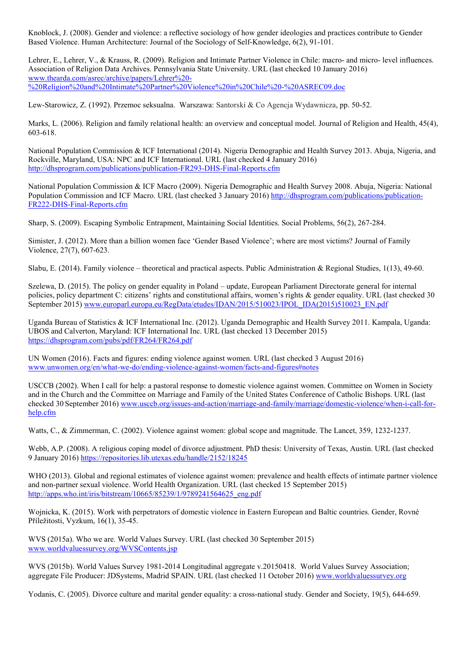Knoblock, J. (2008). Gender and violence: a reflective sociology of how gender ideologies and practices contribute to Gender Based Violence. Human Architecture: Journal of the Sociology of Self-Knowledge, 6(2), 91-101.

Lehrer, E., Lehrer, V., & Krauss, R. (2009). Religion and Intimate Partner Violence in Chile: macro- and micro- level influences. Association of Religion Data Archives. Pennsylvania State University. URL (last checked 10 January 2016) [www.thearda.com/asrec/archive/papers/Lehrer%20](http://www.thearda.com/asrec/archive/papers/Lehrer%20-%20Religion%20and%20Intimate%20Partner%20Violence%20in%20Chile%20-%20ASREC09.doc)- [%20Religion%20and%20Intimate%20Partner%20Violence%20in%20Chile%20](http://www.thearda.com/asrec/archive/papers/Lehrer%20-%20Religion%20and%20Intimate%20Partner%20Violence%20in%20Chile%20-%20ASREC09.doc)-%20ASREC09.doc

Lew-Starowicz, Z. (1992). Przemoc seksualna. Warszawa: Santorski & Co Agencja Wydawnicza, pp. 50-52.

Marks, L. (2006). Religion and family relational health: an overview and conceptual model. Journal of Religion and Health, 45(4), 603-618.

National Population Commission & ICF International (2014). Nigeria Demographic and Health Survey 2013. Abuja, Nigeria, and Rockville, Maryland, USA: NPC and ICF International. URL (last checked 4 January 2016) [http://dhsprogram.com/publications/publication](http://dhsprogram.com/publications/publication-FR293-DHS-Final-Reports.cfm)-FR293-DHS-Final-Reports.cfm

National Population Commission & ICF Macro (2009). Nigeria Demographic and Health Survey 2008. Abuja, Nigeria: National Population Commission and ICF Macro. URL (last checked 3 January 2016) [http://dhsprogram.com/publications/publication](http://dhsprogram.com/publications/publication-FR222-DHS-Final-Reports.cfm)-FR222-DHS-Final[-Reports.cfm](http://dhsprogram.com/publications/publication-FR222-DHS-Final-Reports.cfm)

Sharp, S. (2009). Escaping Symbolic Entrapment, Maintaining Social Identities. Social Problems, 56(2), 267-284.

Simister, J. (2012). More than a billion women face 'Gender Based Violence'; where are most victims? Journal of Family Violence, 27(7), 607-623.

Slabu, E. (2014). Family violence – theoretical and practical aspects. Public Administration & Regional Studies, 1(13), 49-60.

Szelewa, D. (2015). The policy on gender equality in Poland – update, European Parliament Directorate general for internal policies, policy department C: citizens' rights and constitutional affairs, women's rights & gender equality. URL (last checked 30 September 2015) [www.europarl.europa.eu/RegData/etudes/IDAN/2015/510023/IPOL\\_IDA\(2015\)510023\\_EN.pdf](http://www.europarl.europa.eu/RegData/etudes/IDAN/2015/510023/IPOL_IDA(2015)510023_EN.pdf)

Uganda Bureau of Statistics & ICF International Inc. (2012). Uganda Demographic and Health Survey 2011. Kampala, Uganda: UBOS and Calverton, Maryland: ICF International Inc. URL (last checked 13 December 2015) <https://dhsprogram.com/pubs/pdf/FR264/FR264.pdf>

UN Women (2016). Facts and figures: ending violence against women. URL (last checked 3 August 2016) [www.unwomen.org/en/what](http://www.unwomen.org/en/what-we-do/ending-violence-against-women/facts-and-figures#notes)-we-do/ending-violence-against-women/facts-and-figures#notes

USCCB (2002). When I call for help: a pastoral response to domestic violence against women. Committee on Women in Society and in the Church and the Committee on Marriage and Family of the United States Conference of Catholic Bishops. URL (last checked 30 September 2016) www.usccb.org/issues-and-action/marriage-and-[family/marriage/domestic](http://www.usccb.org/issues-and-action/marriage-and-family/marriage/domestic-violence/when-i-call-for-help.cfm)-violence/when-i-call-for[help.cfm](http://www.usccb.org/issues-and-action/marriage-and-family/marriage/domestic-violence/when-i-call-for-help.cfm)

Watts, C., & Zimmerman, C. (2002). Violence against women: global scope and magnitude. The Lancet, 359, 1232-1237.

Webb, A.P. (2008). A religious coping model of divorce adjustment. PhD thesis: University of Texas, Austin. URL (last checked 9 January 2016) <https://repositories.lib.utexas.edu/handle/2152/18245>

WHO (2013). Global and regional estimates of violence against women: prevalence and health effects of intimate partner violence and non-partner sexual violence. World Health Organization. URL (last checked 15 September 2015) [http://apps.who.int/iris/bitstream/10665/85239/1/9789241564625\\_eng.pdf](http://apps.who.int/iris/bitstream/10665/85239/1/9789241564625_eng.pdf)

Wojnicka, K. (2015). Work with perpetrators of domestic violence in Eastern European and Baltic countries. Gender, Rovné Příležitosti, Vyzkum, 16(1), 35-45.

WVS (2015a). Who we are. World Values Survey. URL (last checked 30 September 2015) [www.worldvaluessurvey.org/WVSContents.jsp](http://www.worldvaluessurvey.org/WVSContents.jsp)

WVS (2015b). World Values Survey 1981-2014 Longitudinal aggregate v.20150418. World Values Survey Association; aggregate File Producer: JDSystems, Madrid SPAIN. URL (last checked 11 October 2016) [www.worldvaluessurvey.org](http://www.worldvaluessurvey.org/)

Yodanis, C. (2005). Divorce culture and marital gender equality: a cross-national study. Gender and Society, 19(5), 644-659.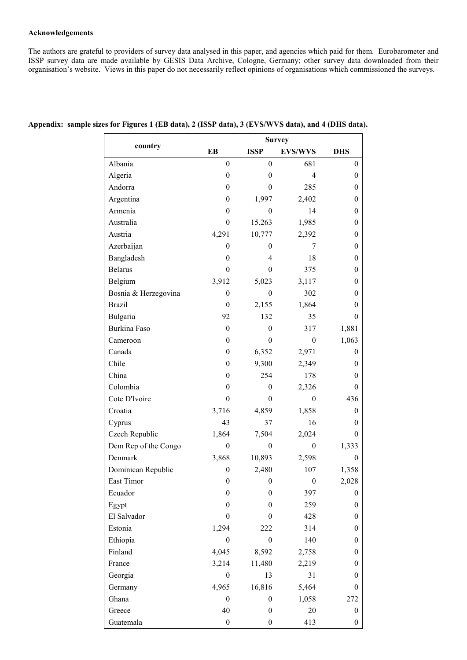## **Acknowledgements**

The authors are grateful to providers of survey data analysed in this paper, and agencies which paid for them. Eurobarometer and ISSP survey data are made available by GESIS Data Archive, Cologne, Germany; other survey data downloaded from their organisation's website. Views in this paper do not necessarily reflect opinions of organisations which commissioned the surveys.

|                      | <b>Survey</b>    |                  |                  |                  |  |  |
|----------------------|------------------|------------------|------------------|------------------|--|--|
| country              | EB               | <b>ISSP</b>      | <b>EVS/WVS</b>   | <b>DHS</b>       |  |  |
| Albania              | $\boldsymbol{0}$ | $\theta$         | 681              | $\theta$         |  |  |
| Algeria              | $\boldsymbol{0}$ | $\theta$         | $\overline{4}$   | $\theta$         |  |  |
| Andorra              | $\boldsymbol{0}$ | 0                | 285              | 0                |  |  |
| Argentina            | $\boldsymbol{0}$ | 1,997            | 2,402            | 0                |  |  |
| Armenia              | $\boldsymbol{0}$ | $\theta$         | 14               | 0                |  |  |
| Australia            | $\boldsymbol{0}$ | 15,263           | 1,985            | $\boldsymbol{0}$ |  |  |
| Austria              | 4,291            | 10,777           | 2,392            | 0                |  |  |
| Azerbaijan           | $\boldsymbol{0}$ | 0                | 7                | 0                |  |  |
| Bangladesh           | $\mathbf{0}$     | 4                | 18               | 0                |  |  |
| <b>Belarus</b>       | $\boldsymbol{0}$ | $\theta$         | 375              | $\boldsymbol{0}$ |  |  |
| Belgium              | 3,912            | 5,023            | 3,117            | 0                |  |  |
| Bosnia & Herzegovina | $\boldsymbol{0}$ | $\boldsymbol{0}$ | 302              | 0                |  |  |
| <b>Brazil</b>        | $\mathbf{0}$     | 2,155            | 1,864            | 0                |  |  |
| Bulgaria             | 92               | 132              | 35               | $\theta$         |  |  |
| Burkina Faso         | $\theta$         | $\theta$         | 317              | 1,881            |  |  |
| Cameroon             | $\boldsymbol{0}$ | $\theta$         | $\boldsymbol{0}$ | 1,063            |  |  |
| Canada               | $\boldsymbol{0}$ | 6,352            | 2,971            | $\bf{0}$         |  |  |
| Chile                | $\boldsymbol{0}$ | 9,300            | 2,349            | 0                |  |  |
| China                | $\boldsymbol{0}$ | 254              | 178              | 0                |  |  |
| Colombia             | $\boldsymbol{0}$ | $\boldsymbol{0}$ | 2,326            | 0                |  |  |
| Cote D'Ivoire        | $\boldsymbol{0}$ | $\theta$         | $\boldsymbol{0}$ | 436              |  |  |
| Croatia              | 3,716            | 4,859            | 1,858            | $\theta$         |  |  |
| Cyprus               | 43               | 37               | 16               | 0                |  |  |
| Czech Republic       | 1,864            | 7,504            | 2,024            | $\theta$         |  |  |
| Dem Rep of the Congo | $\theta$         | $\theta$         | $\boldsymbol{0}$ | 1,333            |  |  |
| Denmark              | 3,868            | 10,893           | 2,598            | $\theta$         |  |  |
| Dominican Republic   | $\boldsymbol{0}$ | 2,480            | 107              | 1,358            |  |  |
| East Timor           | $\boldsymbol{0}$ | $\boldsymbol{0}$ | $\boldsymbol{0}$ | 2,028            |  |  |
| Ecuador              | $\boldsymbol{0}$ | $\boldsymbol{0}$ | 397              | $\boldsymbol{0}$ |  |  |
| Egypt                | $\boldsymbol{0}$ | $\theta$         | 259              | $\boldsymbol{0}$ |  |  |
| El Salvador          | $\boldsymbol{0}$ | $\boldsymbol{0}$ | 428              | $\boldsymbol{0}$ |  |  |
| Estonia              | 1,294            | 222              | 314              | $\boldsymbol{0}$ |  |  |
| Ethiopia             | $\theta$         | $\theta$         | 140              | 0                |  |  |
| Finland              | 4,045            | 8,592            | 2,758            | $\boldsymbol{0}$ |  |  |
| France               | 3,214            | 11,480           | 2,219            | $\boldsymbol{0}$ |  |  |
| Georgia              | $\boldsymbol{0}$ | 13               | 31               | $\boldsymbol{0}$ |  |  |
| Germany              | 4,965            | 16,816           | 5,464            | 0                |  |  |
| Ghana                | $\boldsymbol{0}$ | $\boldsymbol{0}$ | 1,058            | 272              |  |  |
| Greece               | 40               | $\boldsymbol{0}$ | 20               | $\boldsymbol{0}$ |  |  |
| Guatemala            | $\boldsymbol{0}$ | $\boldsymbol{0}$ | 413              | $\boldsymbol{0}$ |  |  |

| Appendix: sample sizes for Figures 1 (EB data), 2 (ISSP data), 3 (EVS/WVS data), and 4 (DHS data). |  |  |  |  |
|----------------------------------------------------------------------------------------------------|--|--|--|--|
|                                                                                                    |  |  |  |  |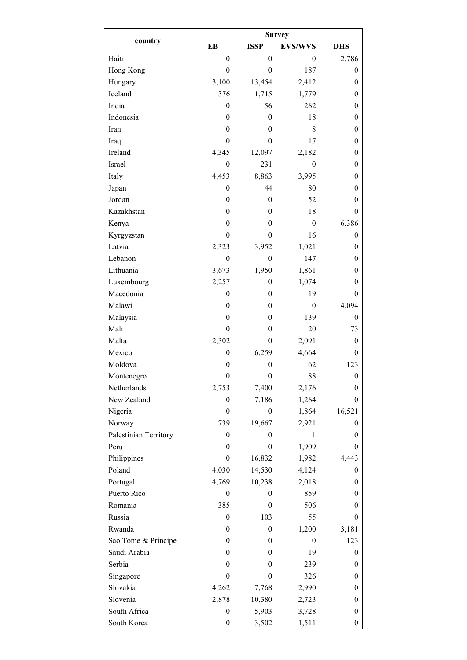|                       | <b>Survey</b>    |                  |                  |                  |  |  |  |
|-----------------------|------------------|------------------|------------------|------------------|--|--|--|
| country               | EB               | <b>ISSP</b>      | <b>EVS/WVS</b>   | <b>DHS</b>       |  |  |  |
| Haiti                 | $\boldsymbol{0}$ | $\boldsymbol{0}$ | 0                | 2,786            |  |  |  |
| Hong Kong             | $\boldsymbol{0}$ | $\boldsymbol{0}$ | 187              | $\boldsymbol{0}$ |  |  |  |
| Hungary               | 3,100            | 13,454           | 2,412            | $\boldsymbol{0}$ |  |  |  |
| Iceland               | 376              | 1,715            | 1,779            | $\boldsymbol{0}$ |  |  |  |
| India                 | $\mathbf{0}$     | 56               | 262              | $\boldsymbol{0}$ |  |  |  |
| Indonesia             | $\boldsymbol{0}$ | $\theta$         | 18               | $\boldsymbol{0}$ |  |  |  |
| Iran                  | $\theta$         | 0                | 8                | $\boldsymbol{0}$ |  |  |  |
| Iraq                  | $\theta$         | $\theta$         | 17               | $\boldsymbol{0}$ |  |  |  |
| Ireland               | 4,345            | 12,097           | 2,182            | $\boldsymbol{0}$ |  |  |  |
| Israel                | $\boldsymbol{0}$ | 231              | $\boldsymbol{0}$ | $\theta$         |  |  |  |
| Italy                 | 4,453            | 8,863            | 3,995            | $\theta$         |  |  |  |
| Japan                 | $\theta$         | 44               | 80               | $\theta$         |  |  |  |
| Jordan                | $\boldsymbol{0}$ | $\theta$         | 52               | $\boldsymbol{0}$ |  |  |  |
| Kazakhstan            | $\boldsymbol{0}$ | $\theta$         | 18               | $\theta$         |  |  |  |
| Kenya                 | $\theta$         | 0                | $\boldsymbol{0}$ | 6,386            |  |  |  |
| Kyrgyzstan            | $\theta$         | $\theta$         | 16               | $\boldsymbol{0}$ |  |  |  |
| Latvia                | 2,323            | 3,952            | 1,021            | $\boldsymbol{0}$ |  |  |  |
| Lebanon               | $\boldsymbol{0}$ | $\mathbf{0}$     | 147              | $\theta$         |  |  |  |
| Lithuania             | 3,673            | 1,950            | 1,861            | $\mathbf{0}$     |  |  |  |
| Luxembourg            | 2,257            | $\theta$         | 1,074            | $\theta$         |  |  |  |
| Macedonia             | $\boldsymbol{0}$ | $\theta$         | 19               | $\theta$         |  |  |  |
| Malawi                | $\theta$         | $\theta$         | $\boldsymbol{0}$ | 4,094            |  |  |  |
| Malaysia              | $\theta$         | $\theta$         | 139              | 0                |  |  |  |
| Mali                  | $\boldsymbol{0}$ | $\theta$         | 20               | 73               |  |  |  |
| Malta                 | 2,302            | $\theta$         | 2,091            | $\boldsymbol{0}$ |  |  |  |
| Mexico                | $\theta$         | 6,259            | 4,664            | 0                |  |  |  |
| Moldova               | $\theta$         | $\theta$         | 62               | 123              |  |  |  |
| Montenegro            | $\boldsymbol{0}$ | $\boldsymbol{0}$ | 88               | $\boldsymbol{0}$ |  |  |  |
| Netherlands           | 2,753            | 7,400            | 2,176            | $\boldsymbol{0}$ |  |  |  |
| New Zealand           | 0                | 7,186            | 1,264            | $\boldsymbol{0}$ |  |  |  |
| Nigeria               | $\mathbf{0}$     | $\theta$         | 1,864            | 16,521           |  |  |  |
| Norway                | 739              | 19,667           | 2,921            | $\theta$         |  |  |  |
| Palestinian Territory | $\theta$         | 0                | 1                | $\boldsymbol{0}$ |  |  |  |
| Peru                  | $\theta$         | $\theta$         | 1,909            | $\boldsymbol{0}$ |  |  |  |
| Philippines           | $\mathbf{0}$     | 16,832           | 1,982            | 4,443            |  |  |  |
| Poland                | 4,030            | 14,530           | 4,124            | $\boldsymbol{0}$ |  |  |  |
| Portugal              | 4,769            | 10,238           | 2,018            | $\boldsymbol{0}$ |  |  |  |
| Puerto Rico           | $\theta$         | 0                | 859              | $\boldsymbol{0}$ |  |  |  |
| Romania               | 385              | $\theta$         | 506              | $\boldsymbol{0}$ |  |  |  |
| Russia                | $\mathbf{0}$     | 103              | 55               | $\boldsymbol{0}$ |  |  |  |
| Rwanda                | $\theta$         | 0                | 1,200            | 3,181            |  |  |  |
| Sao Tome & Principe   | $\theta$         | $\theta$         | $\theta$         | 123              |  |  |  |
| Saudi Arabia          | $\theta$         | 0                | 19               | $\boldsymbol{0}$ |  |  |  |
| Serbia                | $\theta$         | $\theta$         | 239              | $\boldsymbol{0}$ |  |  |  |
| Singapore             | $\mathbf{0}$     | 0                | 326              | $\boldsymbol{0}$ |  |  |  |
| Slovakia              | 4,262            | 7,768            | 2,990            | $\boldsymbol{0}$ |  |  |  |
| Slovenia              | 2,878            | 10,380           | 2,723            | $\boldsymbol{0}$ |  |  |  |
| South Africa          | $\boldsymbol{0}$ | 5,903            | 3,728            | $\boldsymbol{0}$ |  |  |  |
| South Korea           | $\boldsymbol{0}$ | 3,502            | 1,511            | $\boldsymbol{0}$ |  |  |  |